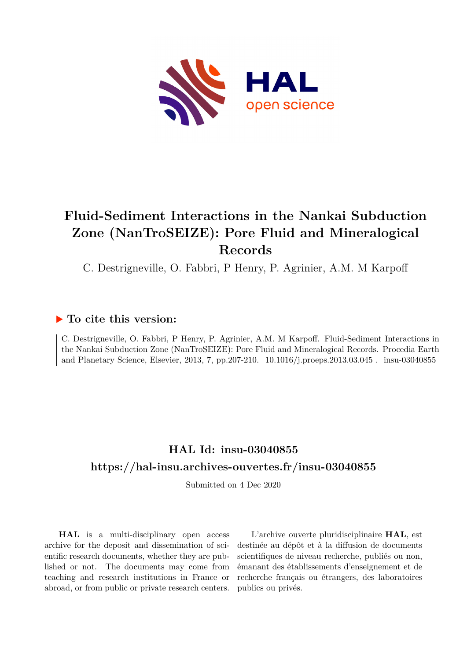

# **Fluid-Sediment Interactions in the Nankai Subduction Zone (NanTroSEIZE): Pore Fluid and Mineralogical Records**

C. Destrigneville, O. Fabbri, P Henry, P. Agrinier, A.M. M Karpoff

### **To cite this version:**

C. Destrigneville, O. Fabbri, P Henry, P. Agrinier, A.M. M Karpoff. Fluid-Sediment Interactions in the Nankai Subduction Zone (NanTroSEIZE): Pore Fluid and Mineralogical Records. Procedia Earth and Planetary Science, Elsevier, 2013, 7, pp.207-210.  $10.1016/j.$ proeps.2013.03.045. insu-03040855

### **HAL Id: insu-03040855 <https://hal-insu.archives-ouvertes.fr/insu-03040855>**

Submitted on 4 Dec 2020

**HAL** is a multi-disciplinary open access archive for the deposit and dissemination of scientific research documents, whether they are published or not. The documents may come from teaching and research institutions in France or abroad, or from public or private research centers.

L'archive ouverte pluridisciplinaire **HAL**, est destinée au dépôt et à la diffusion de documents scientifiques de niveau recherche, publiés ou non, émanant des établissements d'enseignement et de recherche français ou étrangers, des laboratoires publics ou privés.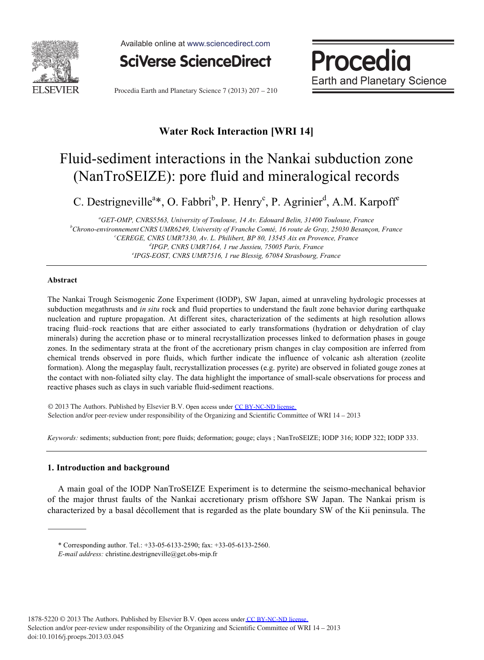

Available online at www.sciencedirect.com

**SciVerse ScienceDirect** 

Procedia **Earth and Planetary Science** 

Procedia Earth and Planetary Science 7 (2013) 207 - 210

### **Water Rock Interaction [WRI 14]**

## Fluid-sediment interactions in the Nankai subduction zone (NanTroSEIZE): pore fluid and mineralogical records

C. Destrigneville<sup>a\*</sup>, O. Fabbri<sup>b</sup>, P. Henry<sup>c</sup>, P. Agrinier<sup>d</sup>, A.M. Karpoff<sup>e</sup>

<sup>a</sup> GET-OMP, CNRS5563, University of Toulouse, 14 Av. Edouard Belin, 31400 Toulouse, France<br><sup>b</sup>Chrona aminomament CNPS UMP6240, University of Franche Comté, 16 noute de Gray, 25030 Because *Chrono-environnementCNRS UMR6249, University of Franche Comté, 16 route de Gray, 25030 Besançon, France c CEREGE, CNRS UMR7330, Av. L. Philibert, BP 80, 13545 Aix en Provence, France d* <sup>d</sup>IPGP, CNRS UMR7164, 1 rue Jussieu, 75005 Paris, France *IPGS-EOST, CNRS UMR7516, 1 rue Blessig, 67084 Strasbourg, France*

#### **Abstract**

The Nankai Trough Seismogenic Zone Experiment (IODP), SW Japan, aimed at unraveling hydrologic processes at subduction megathrusts and *in situ* rock and fluid properties to understand the fault zone behavior during earthquake nucleation and rupture propagation. At different sites, characterization of the sediments at high resolution allows tracing fluid–rock reactions that are either associated to early transformations (hydration or dehydration of clay minerals) during the accretion phase or to mineral recrystallization processes linked to deformation phases in gouge zones. In the sedimentary strata at the front of the accretionary prism changes in clay composition are inferred from chemical trends observed in pore fluids, which further indicate the influence of volcanic ash alteration (zeolite formation). Along the megasplay fault, recrystallization processes (e.g. pyrite) are observed in foliated gouge zones at the contact with non-foliated silty clay. The data highlight the importance of small-scale observations for process and reactive phases such as clays in such variable fluid-sediment reactions.

© 2012 The Authors. Published by Elsevier B.V. © 2013 The Authors. Published by Elsevier B.V. Open access under [CC BY-NC-ND license.](http://creativecommons.org/licenses/by-nc-nd/3.0/) Selection and/or peer-review under responsibility of the Organizing and Scientific Committee of WRI 14 – 2013

*Keywords:* sediments; subduction front; pore fluids; deformation; gouge; clays ; NanTroSEIZE; IODP 316; IODP 322; IODP 333.

#### **1. Introduction and background**

A main goal of the IODP NanTroSEIZE Experiment is to determine the seismo-mechanical behavior of the major thrust faults of the Nankai accretionary prism offshore SW Japan. The Nankai prism is characterized by a basal décollement that is regarded as the plate boundary SW of the Kii peninsula. The

<sup>\*</sup> Corresponding author. Tel.: +33-05-6133-2590; fax: +33-05-6133-2560.

*E-mail address:* christine.destrigneville@get.obs-mip.fr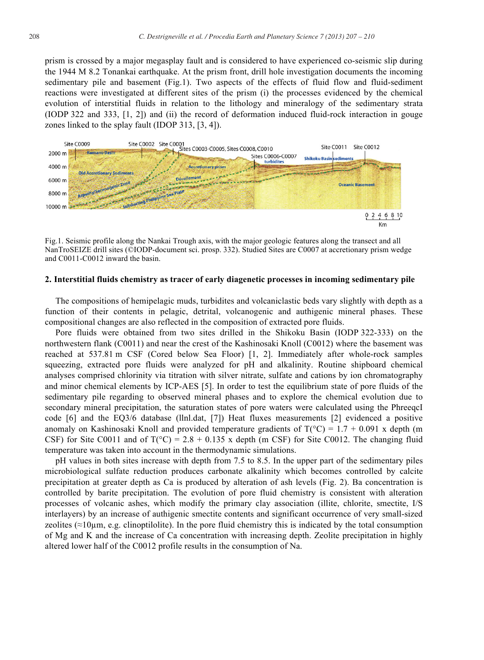prism is crossed by a major megasplay fault and is considered to have experienced co-seismic slip during the 1944 M 8.2 Tonankai earthquake. At the prism front, drill hole investigation documents the incoming sedimentary pile and basement (Fig.1). Two aspects of the effects of fluid flow and fluid-sediment reactions were investigated at different sites of the prism (i) the processes evidenced by the chemical evolution of interstitial fluids in relation to the lithology and mineralogy of the sedimentary strata (IODP 322 and 333, [1, 2]) and (ii) the record of deformation induced fluid-rock interaction in gouge zones linked to the splay fault (IDOP 313, [3, 4]).



Fig.1. Seismic profile along the Nankai Trough axis, with the major geologic features along the transect and all NanTroSEIZE drill sites (©IODP-document sci. prosp. 332). Studied Sites are C0007 at accretionary prism wedge and C0011-C0012 inward the basin.

#### **2. Interstitial fluids chemistry as tracer of early diagenetic processes in incoming sedimentary pile**

The compositions of hemipelagic muds, turbidites and volcaniclastic beds vary slightly with depth as a function of their contents in pelagic, detrital, volcanogenic and authigenic mineral phases. These compositional changes are also reflected in the composition of extracted pore fluids.

Pore fluids were obtained from two sites drilled in the Shikoku Basin (IODP 322-333) on the northwestern flank (C0011) and near the crest of the Kashinosaki Knoll (C0012) where the basement was reached at 537.81 m CSF (Cored below Sea Floor) [1, 2]. Immediately after whole-rock samples squeezing, extracted pore fluids were analyzed for pH and alkalinity. Routine shipboard chemical analyses comprised chlorinity via titration with silver nitrate, sulfate and cations by ion chromatography and minor chemical elements by ICP-AES [5]. In order to test the equilibrium state of pore fluids of the sedimentary pile regarding to observed mineral phases and to explore the chemical evolution due to secondary mineral precipitation, the saturation states of pore waters were calculated using the PhreeqcI code [6] and the EQ3/6 database (llnl.dat, [7]) Heat fluxes measurements [2] evidenced a positive anomaly on Kashinosaki Knoll and provided temperature gradients of  $T(^{\circ}C) = 1.7 + 0.091$  x depth (m CSF) for Site C0011 and of  $T({}^{\circ}C) = 2.8 + 0.135$  x depth (m CSF) for Site C0012. The changing fluid temperature was taken into account in the thermodynamic simulations.

pH values in both sites increase with depth from 7.5 to 8.5. In the upper part of the sedimentary piles microbiological sulfate reduction produces carbonate alkalinity which becomes controlled by calcite precipitation at greater depth as Ca is produced by alteration of ash levels (Fig. 2). Ba concentration is controlled by barite precipitation. The evolution of pore fluid chemistry is consistent with alteration processes of volcanic ashes, which modify the primary clay association (illite, chlorite, smectite, I/S interlayers) by an increase of authigenic smectite contents and significant occurrence of very small-sized zeolites ( $\approx$ 10 $\mu$ m, e.g. clinoptilolite). In the pore fluid chemistry this is indicated by the total consumption of Mg and K and the increase of Ca concentration with increasing depth. Zeolite precipitation in highly altered lower half of the C0012 profile results in the consumption of Na.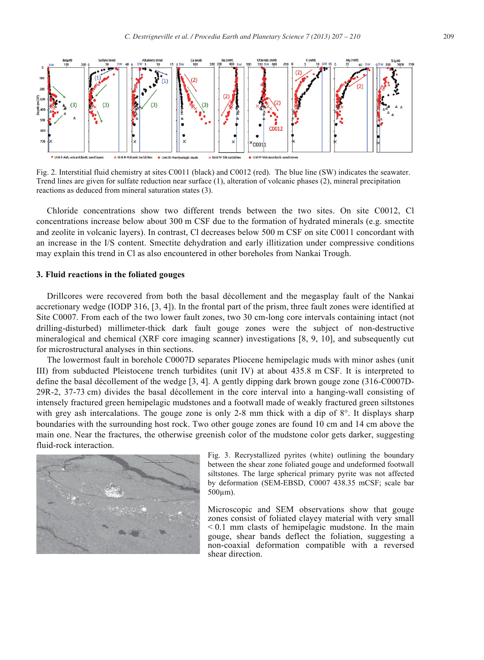

Fig. 2. Interstitial fluid chemistry at sites C0011 (black) and C0012 (red). The blue line (SW) indicates the seawater. Trend lines are given for sulfate reduction near surface (1), alteration of volcanic phases (2), mineral precipitation reactions as deduced from mineral saturation states (3).

Chloride concentrations show two different trends between the two sites. On site C0012, Cl concentrations increase below about 300 m CSF due to the formation of hydrated minerals (e.g. smectite and zeolite in volcanic layers). In contrast, Cl decreases below 500 m CSF on site C0011 concordant with an increase in the I/S content. Smectite dehydration and early illitization under compressive conditions may explain this trend in Cl as also encountered in other boreholes from Nankai Trough.

#### **3. Fluid reactions in the foliated gouges**

Drillcores were recovered from both the basal décollement and the megasplay fault of the Nankai accretionary wedge (IODP 316, [3, 4]). In the frontal part of the prism, three fault zones were identified at Site C0007. From each of the two lower fault zones, two 30 cm-long core intervals containing intact (not drilling-disturbed) millimeter-thick dark fault gouge zones were the subject of non-destructive mineralogical and chemical (XRF core imaging scanner) investigations [8, 9, 10], and subsequently cut for microstructural analyses in thin sections.

The lowermost fault in borehole C0007D separates Pliocene hemipelagic muds with minor ashes (unit III) from subducted Pleistocene trench turbidites (unit IV) at about 435.8 m CSF. It is interpreted to define the basal décollement of the wedge [3, 4]. A gently dipping dark brown gouge zone (316-C0007D-29R-2, 37-73 cm) divides the basal décollement in the core interval into a hanging-wall consisting of intensely fractured green hemipelagic mudstones and a footwall made of weakly fractured green siltstones with grey ash intercalations. The gouge zone is only 2-8 mm thick with a dip of  $8^\circ$ . It displays sharp boundaries with the surrounding host rock. Two other gouge zones are found 10 cm and 14 cm above the main one. Near the fractures, the otherwise greenish color of the mudstone color gets darker, suggesting fluid-rock interaction.



Fig. 3. Recrystallized pyrites (white) outlining the boundary between the shear zone foliated gouge and undeformed footwall siltstones. The large spherical primary pyrite was not affected by deformation (SEM-EBSD, C0007 438.35 mCSF; scale bar  $500 \mu m$ ).

Microscopic and SEM observations show that gouge zones consist of foliated clayey material with very small < 0.1 mm clasts of hemipelagic mudstone. In the main gouge, shear bands deflect the foliation, suggesting a non-coaxial deformation compatible with a reversed shear direction.